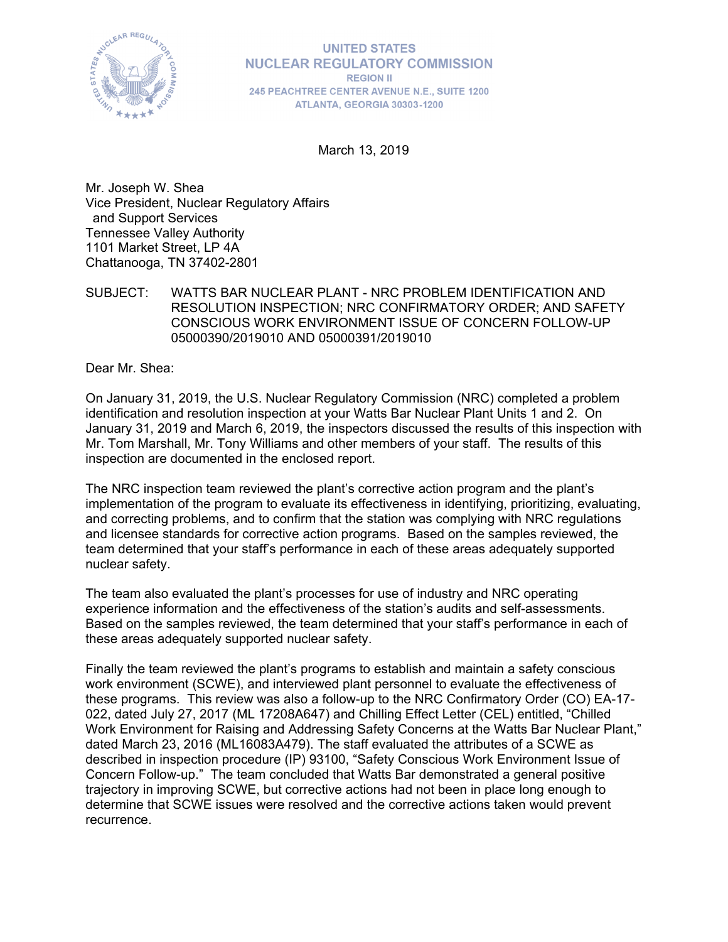

**UNITED STATES NUCLEAR REGULATORY COMMISSION REGION II** 245 PEACHTREE CENTER AVENUE N.E., SUITE 1200 ATLANTA, GEORGIA 30303-1200

March 13, 2019

Mr. Joseph W. Shea Vice President, Nuclear Regulatory Affairs and Support Services Tennessee Valley Authority 1101 Market Street, LP 4A Chattanooga, TN 37402-2801

SUBJECT: WATTS BAR NUCLEAR PLANT - NRC PROBLEM IDENTIFICATION AND RESOLUTION INSPECTION; NRC CONFIRMATORY ORDER; AND SAFETY CONSCIOUS WORK ENVIRONMENT ISSUE OF CONCERN FOLLOW-UP 05000390/2019010 AND 05000391/2019010

Dear Mr. Shea:

On January 31, 2019, the U.S. Nuclear Regulatory Commission (NRC) completed a problem identification and resolution inspection at your Watts Bar Nuclear Plant Units 1 and 2. On January 31, 2019 and March 6, 2019, the inspectors discussed the results of this inspection with Mr. Tom Marshall, Mr. Tony Williams and other members of your staff. The results of this inspection are documented in the enclosed report.

The NRC inspection team reviewed the plant's corrective action program and the plant's implementation of the program to evaluate its effectiveness in identifying, prioritizing, evaluating, and correcting problems, and to confirm that the station was complying with NRC regulations and licensee standards for corrective action programs. Based on the samples reviewed, the team determined that your staff's performance in each of these areas adequately supported nuclear safety.

The team also evaluated the plant's processes for use of industry and NRC operating experience information and the effectiveness of the station's audits and self-assessments. Based on the samples reviewed, the team determined that your staff's performance in each of these areas adequately supported nuclear safety.

Finally the team reviewed the plant's programs to establish and maintain a safety conscious work environment (SCWE), and interviewed plant personnel to evaluate the effectiveness of these programs. This review was also a follow-up to the NRC Confirmatory Order (CO) EA-17- 022, dated July 27, 2017 (ML 17208A647) and Chilling Effect Letter (CEL) entitled, "Chilled Work Environment for Raising and Addressing Safety Concerns at the Watts Bar Nuclear Plant," dated March 23, 2016 (ML16083A479). The staff evaluated the attributes of a SCWE as described in inspection procedure (IP) 93100, "Safety Conscious Work Environment Issue of Concern Follow-up." The team concluded that Watts Bar demonstrated a general positive trajectory in improving SCWE, but corrective actions had not been in place long enough to determine that SCWE issues were resolved and the corrective actions taken would prevent recurrence.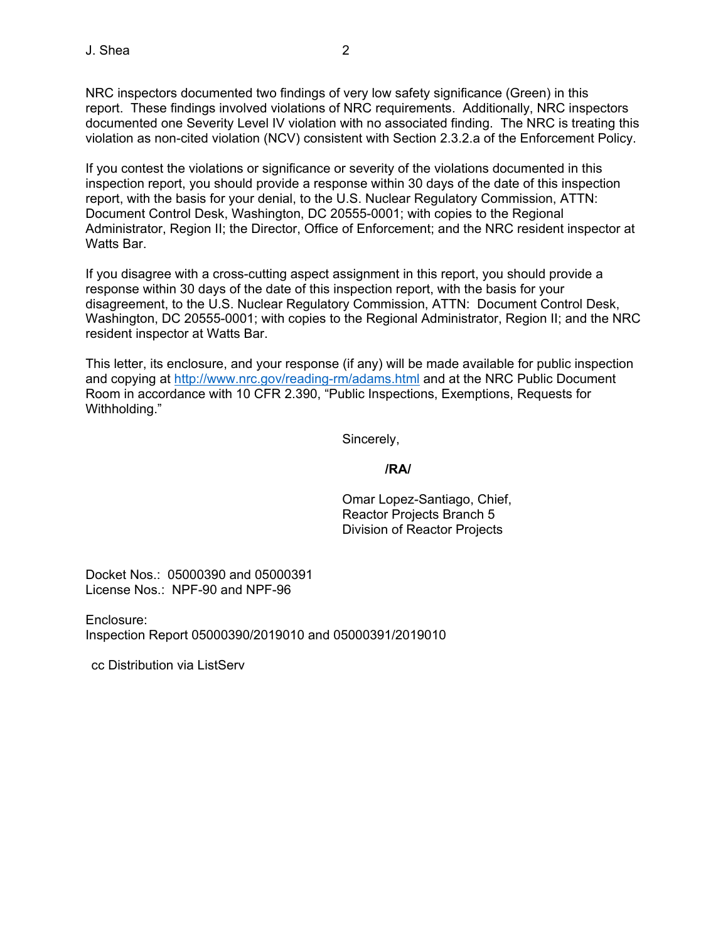NRC inspectors documented two findings of very low safety significance (Green) in this report. These findings involved violations of NRC requirements. Additionally, NRC inspectors documented one Severity Level IV violation with no associated finding. The NRC is treating this violation as non-cited violation (NCV) consistent with Section 2.3.2.a of the Enforcement Policy.

If you contest the violations or significance or severity of the violations documented in this inspection report, you should provide a response within 30 days of the date of this inspection report, with the basis for your denial, to the U.S. Nuclear Regulatory Commission, ATTN: Document Control Desk, Washington, DC 20555-0001; with copies to the Regional Administrator, Region II; the Director, Office of Enforcement; and the NRC resident inspector at Watts Bar.

If you disagree with a cross-cutting aspect assignment in this report, you should provide a response within 30 days of the date of this inspection report, with the basis for your disagreement, to the U.S. Nuclear Regulatory Commission, ATTN: Document Control Desk, Washington, DC 20555-0001; with copies to the Regional Administrator, Region II; and the NRC resident inspector at Watts Bar.

This letter, its enclosure, and your response (if any) will be made available for public inspection and copying at http://www.nrc.gov/reading-rm/adams.html and at the NRC Public Document Room in accordance with 10 CFR 2.390, "Public Inspections, Exemptions, Requests for Withholding."

Sincerely,

#### **/RA/**

Omar Lopez-Santiago, Chief, Reactor Projects Branch 5 Division of Reactor Projects

Docket Nos.: 05000390 and 05000391 License Nos.: NPF-90 and NPF-96

Enclosure: Inspection Report 05000390/2019010 and 05000391/2019010

cc Distribution via ListServ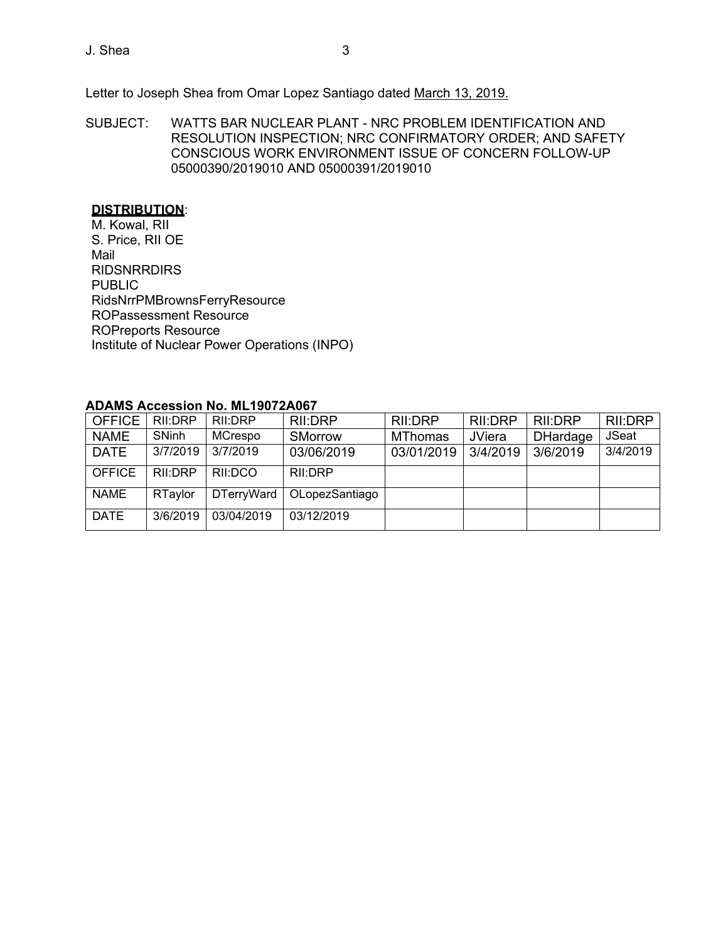Letter to Joseph Shea from Omar Lopez Santiago dated March 13, 2019.

SUBJECT: WATTS BAR NUCLEAR PLANT - NRC PROBLEM IDENTIFICATION AND RESOLUTION INSPECTION; NRC CONFIRMATORY ORDER; AND SAFETY CONSCIOUS WORK ENVIRONMENT ISSUE OF CONCERN FOLLOW-UP 05000390/2019010 AND 05000391/2019010

## **DISTRIBUTION**:

M. Kowal, RII S. Price, RII OE Mail RIDSNRRDIRS PUBLIC RidsNrrPMBrownsFerryResource ROPassessment Resource ROPreports Resource Institute of Nuclear Power Operations (INPO)

## **ADAMS Accession No. ML19072A067**

| <b>OFFICE</b> | RII:DRP  | RII:DRP           | RII:DRP        | RII:DRP        | <b>RII:DRP</b> | RII:DRP         | RII:DRP  |
|---------------|----------|-------------------|----------------|----------------|----------------|-----------------|----------|
| <b>NAME</b>   | SNinh    | MCrespo           | SMorrow        | <b>MThomas</b> | <b>JViera</b>  | <b>DHardage</b> | JSeat    |
| <b>DATE</b>   | 3/7/2019 | 3/7/2019          | 03/06/2019     | 03/01/2019     | 3/4/2019       | 3/6/2019        | 3/4/2019 |
| <b>OFFICE</b> | RII:DRP  | RII:DCO           | RII:DRP        |                |                |                 |          |
| <b>NAME</b>   | RTaylor  | <b>DTerryWard</b> | OLopezSantiago |                |                |                 |          |
| <b>DATE</b>   | 3/6/2019 | 03/04/2019        | 03/12/2019     |                |                |                 |          |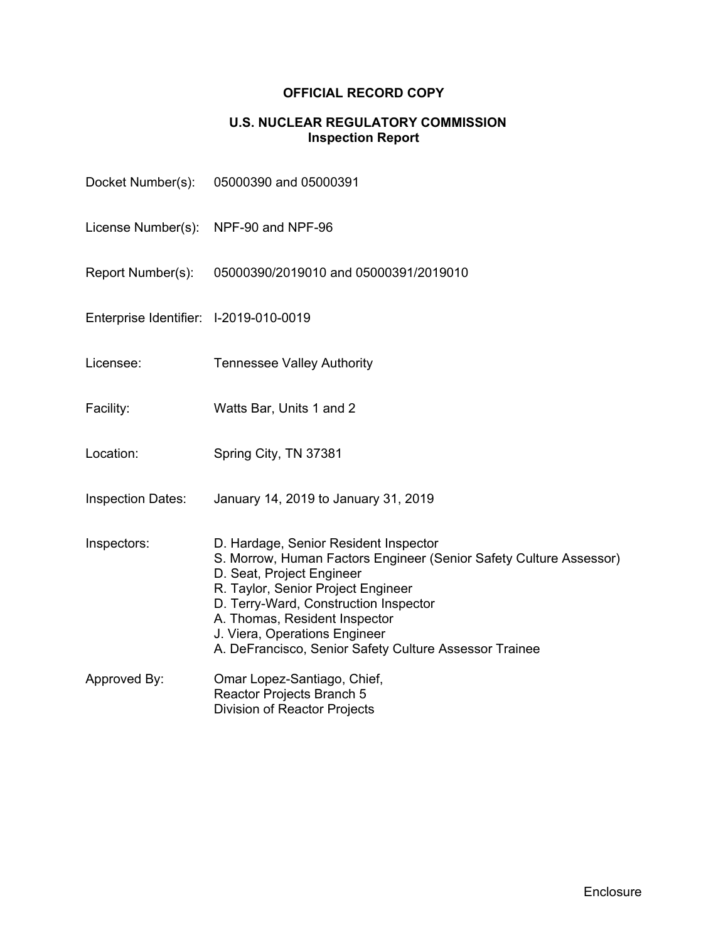## **OFFICIAL RECORD COPY**

## **U.S. NUCLEAR REGULATORY COMMISSION Inspection Report**

| Docket Number(s):                      | 05000390 and 05000391                                                                                                                                                                                                                                                                                                                               |
|----------------------------------------|-----------------------------------------------------------------------------------------------------------------------------------------------------------------------------------------------------------------------------------------------------------------------------------------------------------------------------------------------------|
| License Number(s):                     | NPF-90 and NPF-96                                                                                                                                                                                                                                                                                                                                   |
| Report Number(s):                      | 05000390/2019010 and 05000391/2019010                                                                                                                                                                                                                                                                                                               |
| Enterprise Identifier: I-2019-010-0019 |                                                                                                                                                                                                                                                                                                                                                     |
| Licensee:                              | <b>Tennessee Valley Authority</b>                                                                                                                                                                                                                                                                                                                   |
| Facility:                              | Watts Bar, Units 1 and 2                                                                                                                                                                                                                                                                                                                            |
| Location:                              | Spring City, TN 37381                                                                                                                                                                                                                                                                                                                               |
| <b>Inspection Dates:</b>               | January 14, 2019 to January 31, 2019                                                                                                                                                                                                                                                                                                                |
| Inspectors:                            | D. Hardage, Senior Resident Inspector<br>S. Morrow, Human Factors Engineer (Senior Safety Culture Assessor)<br>D. Seat, Project Engineer<br>R. Taylor, Senior Project Engineer<br>D. Terry-Ward, Construction Inspector<br>A. Thomas, Resident Inspector<br>J. Viera, Operations Engineer<br>A. DeFrancisco, Senior Safety Culture Assessor Trainee |
| Approved By:                           | Omar Lopez-Santiago, Chief,<br>Reactor Projects Branch 5<br>Division of Reactor Projects                                                                                                                                                                                                                                                            |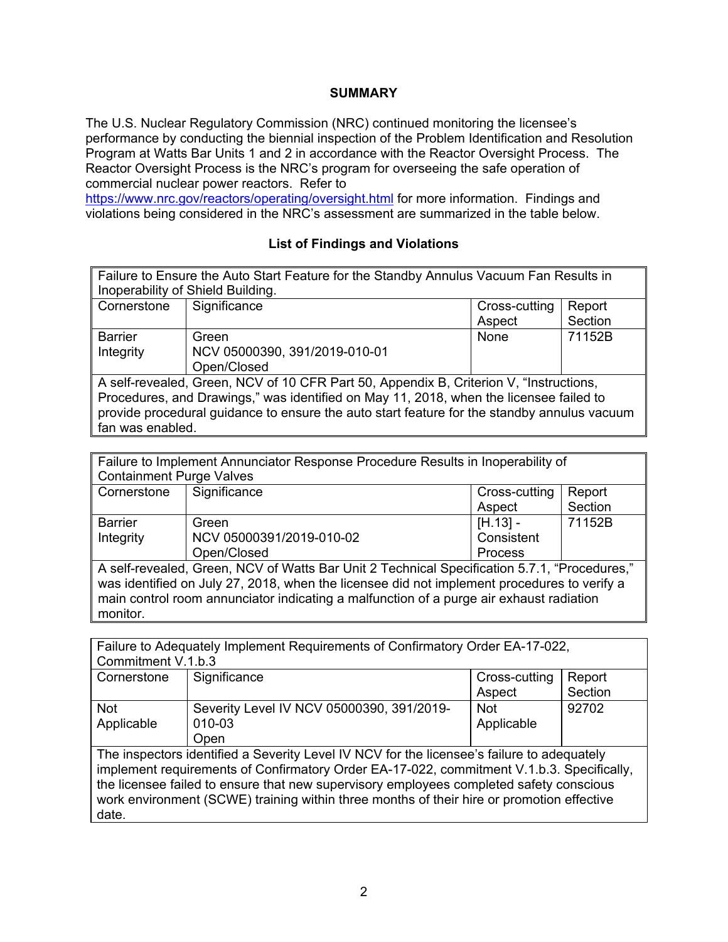## **SUMMARY**

The U.S. Nuclear Regulatory Commission (NRC) continued monitoring the licensee's performance by conducting the biennial inspection of the Problem Identification and Resolution Program at Watts Bar Units 1 and 2 in accordance with the Reactor Oversight Process. The Reactor Oversight Process is the NRC's program for overseeing the safe operation of commercial nuclear power reactors. Refer to

https://www.nrc.gov/reactors/operating/oversight.html for more information. Findings and violations being considered in the NRC's assessment are summarized in the table below.

## **List of Findings and Violations**

| Failure to Ensure the Auto Start Feature for the Standby Annulus Vacuum Fan Results in      |                                         |        |         |  |  |  |
|---------------------------------------------------------------------------------------------|-----------------------------------------|--------|---------|--|--|--|
|                                                                                             | Inoperability of Shield Building.       |        |         |  |  |  |
| Cornerstone                                                                                 | Significance<br>Cross-cutting<br>Report |        |         |  |  |  |
|                                                                                             |                                         | Aspect | Section |  |  |  |
| <b>Barrier</b>                                                                              | Green                                   | None   | 71152B  |  |  |  |
| Integrity                                                                                   | NCV 05000390, 391/2019-010-01           |        |         |  |  |  |
|                                                                                             | Open/Closed                             |        |         |  |  |  |
| A self-revealed, Green, NCV of 10 CFR Part 50, Appendix B, Criterion V, "Instructions,      |                                         |        |         |  |  |  |
| Procedures, and Drawings," was identified on May 11, 2018, when the licensee failed to      |                                         |        |         |  |  |  |
| provide procedural guidance to ensure the auto start feature for the standby annulus vacuum |                                         |        |         |  |  |  |
|                                                                                             | fan was enabled.                        |        |         |  |  |  |

| Failure to Implement Annunciator Response Procedure Results in Inoperability of              |                          |               |        |  |  |
|----------------------------------------------------------------------------------------------|--------------------------|---------------|--------|--|--|
| <b>Containment Purge Valves</b>                                                              |                          |               |        |  |  |
| Cornerstone                                                                                  | Significance             | Cross-cutting | Report |  |  |
|                                                                                              | Section<br>Aspect        |               |        |  |  |
| <b>Barrier</b>                                                                               | Green                    | $[H.13] -$    | 71152B |  |  |
| Integrity                                                                                    | NCV 05000391/2019-010-02 | Consistent    |        |  |  |
|                                                                                              | Open/Closed<br>Process   |               |        |  |  |
| A self-revealed, Green, NCV of Watts Bar Unit 2 Technical Specification 5.7.1, "Procedures," |                          |               |        |  |  |
| was identified on July 27, 2018, when the licensee did not implement procedures to verify a  |                          |               |        |  |  |
| main control room annunciator indicating a malfunction of a purge air exhaust radiation      |                          |               |        |  |  |

Failure to Adequately Implement Requirements of Confirmatory Order EA-17-022, Commitment V.1.b.3

monitor.

| Cornerstone | Significance                              | Cross-cutting | Report  |  |  |
|-------------|-------------------------------------------|---------------|---------|--|--|
|             |                                           | Aspect        | Section |  |  |
| <b>Not</b>  | Severity Level IV NCV 05000390, 391/2019- | <b>Not</b>    | 92702   |  |  |
| Applicable  | 010-03                                    | Applicable    |         |  |  |
|             | Open                                      |               |         |  |  |

The inspectors identified a Severity Level IV NCV for the licensee's failure to adequately implement requirements of Confirmatory Order EA-17-022, commitment V.1.b.3. Specifically, the licensee failed to ensure that new supervisory employees completed safety conscious work environment (SCWE) training within three months of their hire or promotion effective date.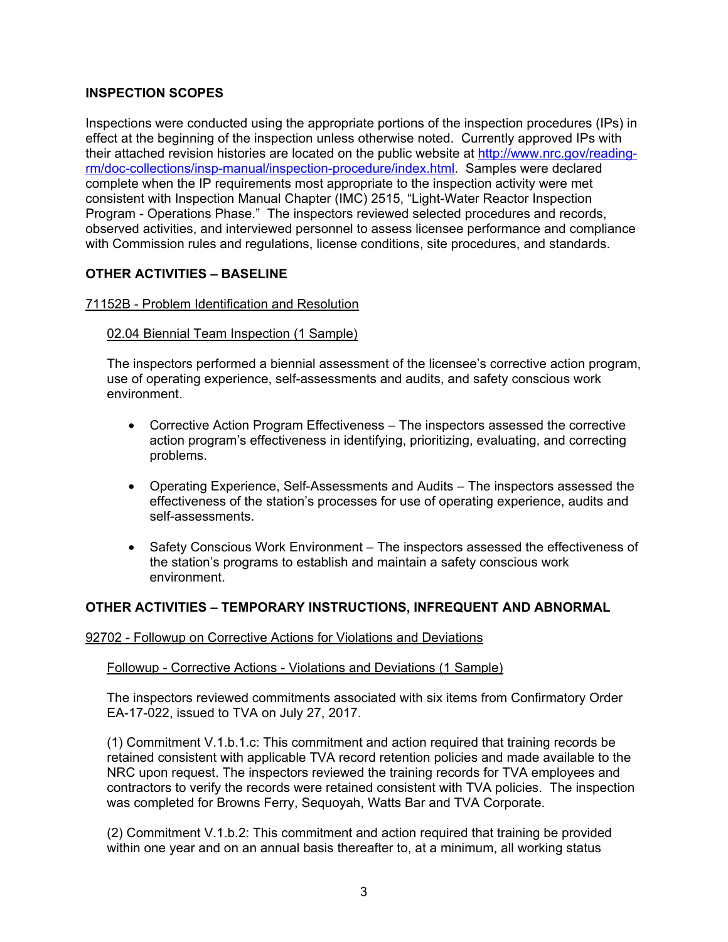## **INSPECTION SCOPES**

Inspections were conducted using the appropriate portions of the inspection procedures (IPs) in effect at the beginning of the inspection unless otherwise noted. Currently approved IPs with their attached revision histories are located on the public website at http://www.nrc.gov/readingrm/doc-collections/insp-manual/inspection-procedure/index.html. Samples were declared complete when the IP requirements most appropriate to the inspection activity were met consistent with Inspection Manual Chapter (IMC) 2515, "Light-Water Reactor Inspection Program - Operations Phase." The inspectors reviewed selected procedures and records, observed activities, and interviewed personnel to assess licensee performance and compliance with Commission rules and regulations, license conditions, site procedures, and standards.

## **OTHER ACTIVITIES – BASELINE**

### 71152B - Problem Identification and Resolution

#### 02.04 Biennial Team Inspection (1 Sample)

The inspectors performed a biennial assessment of the licensee's corrective action program, use of operating experience, self-assessments and audits, and safety conscious work environment.

- Corrective Action Program Effectiveness The inspectors assessed the corrective action program's effectiveness in identifying, prioritizing, evaluating, and correcting problems.
- Operating Experience, Self-Assessments and Audits The inspectors assessed the effectiveness of the station's processes for use of operating experience, audits and self-assessments.
- Safety Conscious Work Environment The inspectors assessed the effectiveness of the station's programs to establish and maintain a safety conscious work environment.

## **OTHER ACTIVITIES – TEMPORARY INSTRUCTIONS, INFREQUENT AND ABNORMAL**

#### 92702 - Followup on Corrective Actions for Violations and Deviations

#### Followup - Corrective Actions - Violations and Deviations (1 Sample)

The inspectors reviewed commitments associated with six items from Confirmatory Order EA-17-022, issued to TVA on July 27, 2017.

(1) Commitment V.1.b.1.c: This commitment and action required that training records be retained consistent with applicable TVA record retention policies and made available to the NRC upon request. The inspectors reviewed the training records for TVA employees and contractors to verify the records were retained consistent with TVA policies. The inspection was completed for Browns Ferry, Sequoyah, Watts Bar and TVA Corporate.

(2) Commitment V.1.b.2: This commitment and action required that training be provided within one year and on an annual basis thereafter to, at a minimum, all working status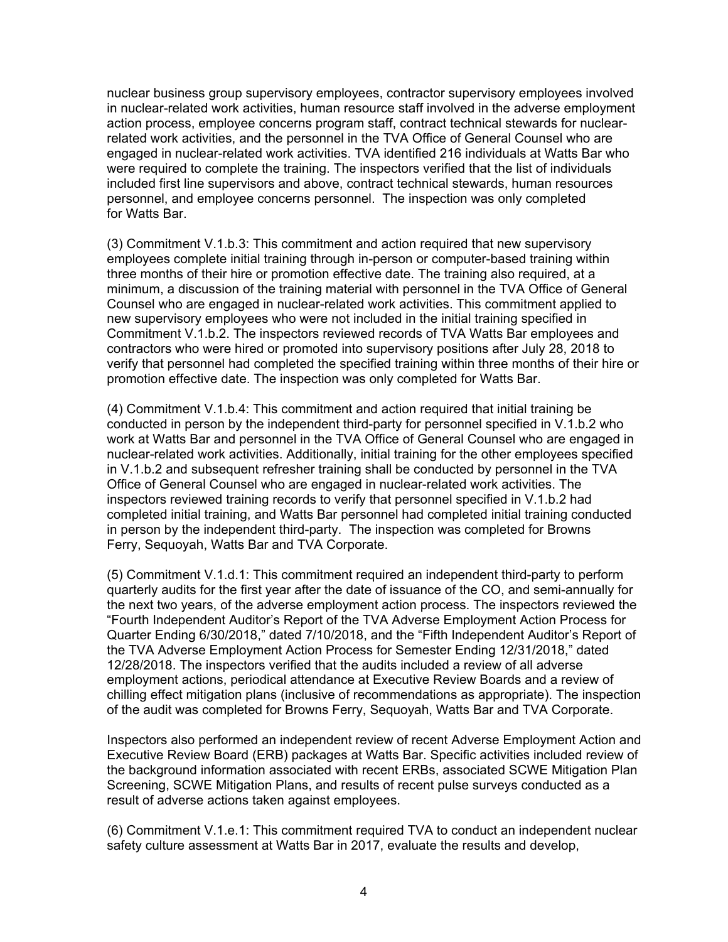nuclear business group supervisory employees, contractor supervisory employees involved in nuclear-related work activities, human resource staff involved in the adverse employment action process, employee concerns program staff, contract technical stewards for nuclearrelated work activities, and the personnel in the TVA Office of General Counsel who are engaged in nuclear-related work activities. TVA identified 216 individuals at Watts Bar who were required to complete the training. The inspectors verified that the list of individuals included first line supervisors and above, contract technical stewards, human resources personnel, and employee concerns personnel. The inspection was only completed for Watts Bar.

(3) Commitment V.1.b.3: This commitment and action required that new supervisory employees complete initial training through in-person or computer-based training within three months of their hire or promotion effective date. The training also required, at a minimum, a discussion of the training material with personnel in the TVA Office of General Counsel who are engaged in nuclear-related work activities. This commitment applied to new supervisory employees who were not included in the initial training specified in Commitment V.1.b.2. The inspectors reviewed records of TVA Watts Bar employees and contractors who were hired or promoted into supervisory positions after July 28, 2018 to verify that personnel had completed the specified training within three months of their hire or promotion effective date. The inspection was only completed for Watts Bar.

(4) Commitment V.1.b.4: This commitment and action required that initial training be conducted in person by the independent third-party for personnel specified in V.1.b.2 who work at Watts Bar and personnel in the TVA Office of General Counsel who are engaged in nuclear-related work activities. Additionally, initial training for the other employees specified in V.1.b.2 and subsequent refresher training shall be conducted by personnel in the TVA Office of General Counsel who are engaged in nuclear-related work activities. The inspectors reviewed training records to verify that personnel specified in V.1.b.2 had completed initial training, and Watts Bar personnel had completed initial training conducted in person by the independent third-party. The inspection was completed for Browns Ferry, Sequoyah, Watts Bar and TVA Corporate.

(5) Commitment V.1.d.1: This commitment required an independent third-party to perform quarterly audits for the first year after the date of issuance of the CO, and semi-annually for the next two years, of the adverse employment action process. The inspectors reviewed the "Fourth Independent Auditor's Report of the TVA Adverse Employment Action Process for Quarter Ending 6/30/2018," dated 7/10/2018, and the "Fifth Independent Auditor's Report of the TVA Adverse Employment Action Process for Semester Ending 12/31/2018," dated 12/28/2018. The inspectors verified that the audits included a review of all adverse employment actions, periodical attendance at Executive Review Boards and a review of chilling effect mitigation plans (inclusive of recommendations as appropriate). The inspection of the audit was completed for Browns Ferry, Sequoyah, Watts Bar and TVA Corporate.

Inspectors also performed an independent review of recent Adverse Employment Action and Executive Review Board (ERB) packages at Watts Bar. Specific activities included review of the background information associated with recent ERBs, associated SCWE Mitigation Plan Screening, SCWE Mitigation Plans, and results of recent pulse surveys conducted as a result of adverse actions taken against employees.

(6) Commitment V.1.e.1: This commitment required TVA to conduct an independent nuclear safety culture assessment at Watts Bar in 2017, evaluate the results and develop,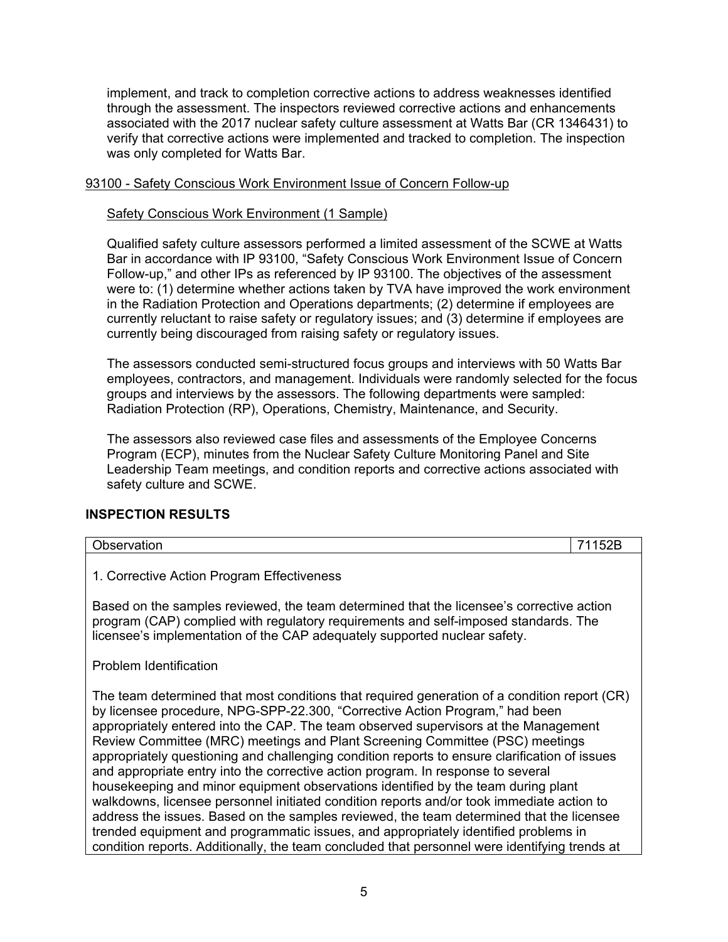implement, and track to completion corrective actions to address weaknesses identified through the assessment. The inspectors reviewed corrective actions and enhancements associated with the 2017 nuclear safety culture assessment at Watts Bar (CR 1346431) to verify that corrective actions were implemented and tracked to completion. The inspection was only completed for Watts Bar.

### 93100 - Safety Conscious Work Environment Issue of Concern Follow-up

#### Safety Conscious Work Environment (1 Sample)

Qualified safety culture assessors performed a limited assessment of the SCWE at Watts Bar in accordance with IP 93100, "Safety Conscious Work Environment Issue of Concern Follow-up," and other IPs as referenced by IP 93100. The objectives of the assessment were to: (1) determine whether actions taken by TVA have improved the work environment in the Radiation Protection and Operations departments; (2) determine if employees are currently reluctant to raise safety or regulatory issues; and (3) determine if employees are currently being discouraged from raising safety or regulatory issues.

The assessors conducted semi-structured focus groups and interviews with 50 Watts Bar employees, contractors, and management. Individuals were randomly selected for the focus groups and interviews by the assessors. The following departments were sampled: Radiation Protection (RP), Operations, Chemistry, Maintenance, and Security.

The assessors also reviewed case files and assessments of the Employee Concerns Program (ECP), minutes from the Nuclear Safety Culture Monitoring Panel and Site Leadership Team meetings, and condition reports and corrective actions associated with safety culture and SCWE.

## **INSPECTION RESULTS**

| Observation                                                                                                                                                                                                                                                                                                                                                                                                                                                                                                                                                                                                                                                                                                                                                                                                                                                                                                                                                                                                    | 71152B |  |  |
|----------------------------------------------------------------------------------------------------------------------------------------------------------------------------------------------------------------------------------------------------------------------------------------------------------------------------------------------------------------------------------------------------------------------------------------------------------------------------------------------------------------------------------------------------------------------------------------------------------------------------------------------------------------------------------------------------------------------------------------------------------------------------------------------------------------------------------------------------------------------------------------------------------------------------------------------------------------------------------------------------------------|--------|--|--|
| 1. Corrective Action Program Effectiveness                                                                                                                                                                                                                                                                                                                                                                                                                                                                                                                                                                                                                                                                                                                                                                                                                                                                                                                                                                     |        |  |  |
| Based on the samples reviewed, the team determined that the licensee's corrective action<br>program (CAP) complied with regulatory requirements and self-imposed standards. The<br>licensee's implementation of the CAP adequately supported nuclear safety.                                                                                                                                                                                                                                                                                                                                                                                                                                                                                                                                                                                                                                                                                                                                                   |        |  |  |
| Problem Identification                                                                                                                                                                                                                                                                                                                                                                                                                                                                                                                                                                                                                                                                                                                                                                                                                                                                                                                                                                                         |        |  |  |
| The team determined that most conditions that required generation of a condition report (CR)<br>by licensee procedure, NPG-SPP-22.300, "Corrective Action Program," had been<br>appropriately entered into the CAP. The team observed supervisors at the Management<br>Review Committee (MRC) meetings and Plant Screening Committee (PSC) meetings<br>appropriately questioning and challenging condition reports to ensure clarification of issues<br>and appropriate entry into the corrective action program. In response to several<br>housekeeping and minor equipment observations identified by the team during plant<br>walkdowns, licensee personnel initiated condition reports and/or took immediate action to<br>address the issues. Based on the samples reviewed, the team determined that the licensee<br>trended equipment and programmatic issues, and appropriately identified problems in<br>condition reports. Additionally, the team concluded that personnel were identifying trends at |        |  |  |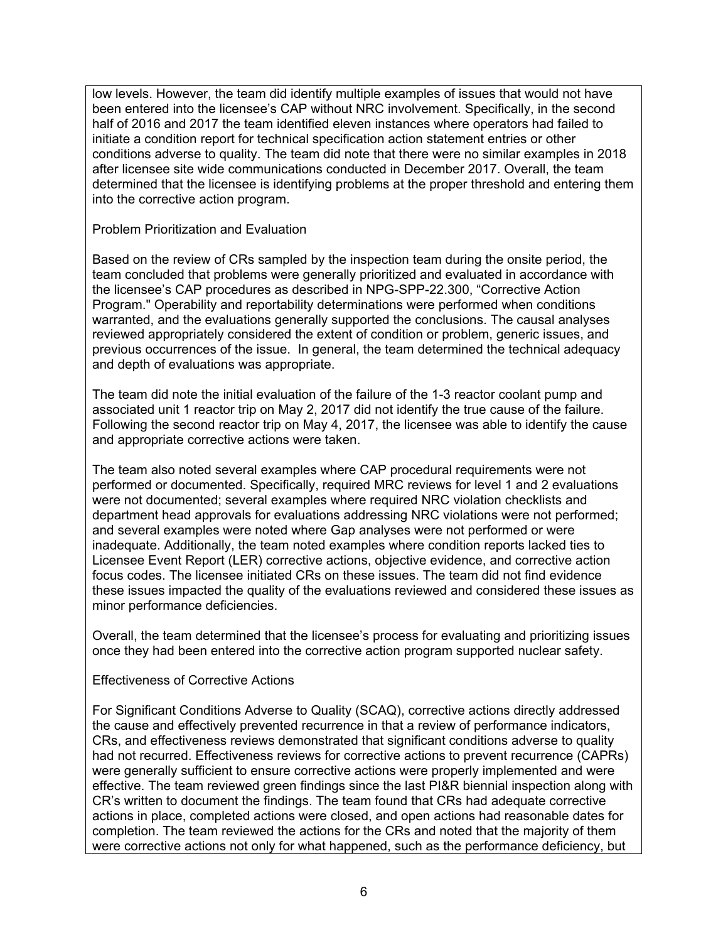low levels. However, the team did identify multiple examples of issues that would not have been entered into the licensee's CAP without NRC involvement. Specifically, in the second half of 2016 and 2017 the team identified eleven instances where operators had failed to initiate a condition report for technical specification action statement entries or other conditions adverse to quality. The team did note that there were no similar examples in 2018 after licensee site wide communications conducted in December 2017. Overall, the team determined that the licensee is identifying problems at the proper threshold and entering them into the corrective action program.

Problem Prioritization and Evaluation

Based on the review of CRs sampled by the inspection team during the onsite period, the team concluded that problems were generally prioritized and evaluated in accordance with the licensee's CAP procedures as described in NPG-SPP-22.300, "Corrective Action Program." Operability and reportability determinations were performed when conditions warranted, and the evaluations generally supported the conclusions. The causal analyses reviewed appropriately considered the extent of condition or problem, generic issues, and previous occurrences of the issue. In general, the team determined the technical adequacy and depth of evaluations was appropriate.

The team did note the initial evaluation of the failure of the 1-3 reactor coolant pump and associated unit 1 reactor trip on May 2, 2017 did not identify the true cause of the failure. Following the second reactor trip on May 4, 2017, the licensee was able to identify the cause and appropriate corrective actions were taken.

The team also noted several examples where CAP procedural requirements were not performed or documented. Specifically, required MRC reviews for level 1 and 2 evaluations were not documented; several examples where required NRC violation checklists and department head approvals for evaluations addressing NRC violations were not performed; and several examples were noted where Gap analyses were not performed or were inadequate. Additionally, the team noted examples where condition reports lacked ties to Licensee Event Report (LER) corrective actions, objective evidence, and corrective action focus codes. The licensee initiated CRs on these issues. The team did not find evidence these issues impacted the quality of the evaluations reviewed and considered these issues as minor performance deficiencies.

Overall, the team determined that the licensee's process for evaluating and prioritizing issues once they had been entered into the corrective action program supported nuclear safety.

## Effectiveness of Corrective Actions

For Significant Conditions Adverse to Quality (SCAQ), corrective actions directly addressed the cause and effectively prevented recurrence in that a review of performance indicators, CRs, and effectiveness reviews demonstrated that significant conditions adverse to quality had not recurred. Effectiveness reviews for corrective actions to prevent recurrence (CAPRs) were generally sufficient to ensure corrective actions were properly implemented and were effective. The team reviewed green findings since the last PI&R biennial inspection along with CR's written to document the findings. The team found that CRs had adequate corrective actions in place, completed actions were closed, and open actions had reasonable dates for completion. The team reviewed the actions for the CRs and noted that the majority of them were corrective actions not only for what happened, such as the performance deficiency, but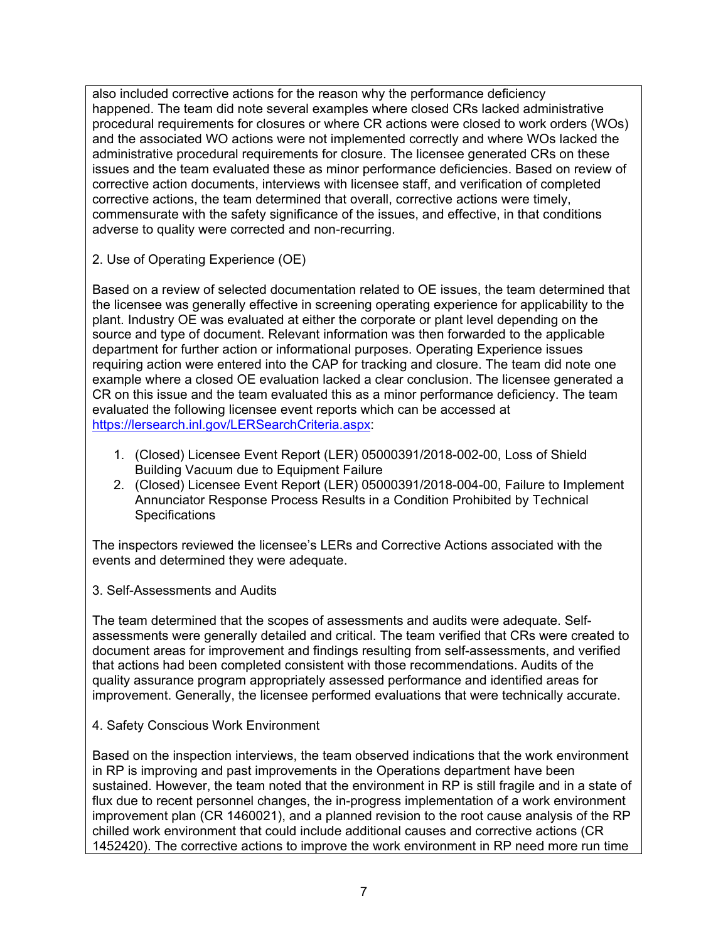also included corrective actions for the reason why the performance deficiency happened. The team did note several examples where closed CRs lacked administrative procedural requirements for closures or where CR actions were closed to work orders (WOs) and the associated WO actions were not implemented correctly and where WOs lacked the administrative procedural requirements for closure. The licensee generated CRs on these issues and the team evaluated these as minor performance deficiencies. Based on review of corrective action documents, interviews with licensee staff, and verification of completed corrective actions, the team determined that overall, corrective actions were timely, commensurate with the safety significance of the issues, and effective, in that conditions adverse to quality were corrected and non-recurring.

2. Use of Operating Experience (OE)

Based on a review of selected documentation related to OE issues, the team determined that the licensee was generally effective in screening operating experience for applicability to the plant. Industry OE was evaluated at either the corporate or plant level depending on the source and type of document. Relevant information was then forwarded to the applicable department for further action or informational purposes. Operating Experience issues requiring action were entered into the CAP for tracking and closure. The team did note one example where a closed OE evaluation lacked a clear conclusion. The licensee generated a CR on this issue and the team evaluated this as a minor performance deficiency. The team evaluated the following licensee event reports which can be accessed at https://lersearch.inl.gov/LERSearchCriteria.aspx:

- 1. (Closed) Licensee Event Report (LER) 05000391/2018-002-00, Loss of Shield Building Vacuum due to Equipment Failure
- 2. (Closed) Licensee Event Report (LER) 05000391/2018-004-00, Failure to Implement Annunciator Response Process Results in a Condition Prohibited by Technical **Specifications**

The inspectors reviewed the licensee's LERs and Corrective Actions associated with the events and determined they were adequate.

3. Self-Assessments and Audits

The team determined that the scopes of assessments and audits were adequate. Selfassessments were generally detailed and critical. The team verified that CRs were created to document areas for improvement and findings resulting from self-assessments, and verified that actions had been completed consistent with those recommendations. Audits of the quality assurance program appropriately assessed performance and identified areas for improvement. Generally, the licensee performed evaluations that were technically accurate.

4. Safety Conscious Work Environment

Based on the inspection interviews, the team observed indications that the work environment in RP is improving and past improvements in the Operations department have been sustained. However, the team noted that the environment in RP is still fragile and in a state of flux due to recent personnel changes, the in-progress implementation of a work environment improvement plan (CR 1460021), and a planned revision to the root cause analysis of the RP chilled work environment that could include additional causes and corrective actions (CR 1452420). The corrective actions to improve the work environment in RP need more run time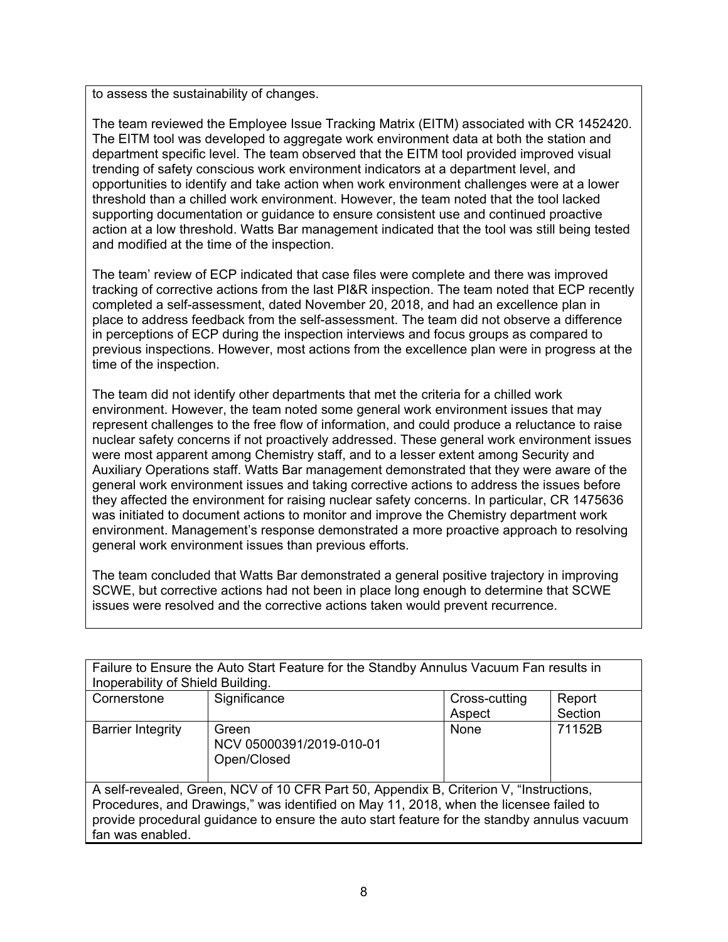to assess the sustainability of changes.

The team reviewed the Employee Issue Tracking Matrix (EITM) associated with CR 1452420. The EITM tool was developed to aggregate work environment data at both the station and department specific level. The team observed that the EITM tool provided improved visual trending of safety conscious work environment indicators at a department level, and opportunities to identify and take action when work environment challenges were at a lower threshold than a chilled work environment. However, the team noted that the tool lacked supporting documentation or guidance to ensure consistent use and continued proactive action at a low threshold. Watts Bar management indicated that the tool was still being tested and modified at the time of the inspection.

The team' review of ECP indicated that case files were complete and there was improved tracking of corrective actions from the last PI&R inspection. The team noted that ECP recently completed a self-assessment, dated November 20, 2018, and had an excellence plan in place to address feedback from the self-assessment. The team did not observe a difference in perceptions of ECP during the inspection interviews and focus groups as compared to previous inspections. However, most actions from the excellence plan were in progress at the time of the inspection.

The team did not identify other departments that met the criteria for a chilled work environment. However, the team noted some general work environment issues that may represent challenges to the free flow of information, and could produce a reluctance to raise nuclear safety concerns if not proactively addressed. These general work environment issues were most apparent among Chemistry staff, and to a lesser extent among Security and Auxiliary Operations staff. Watts Bar management demonstrated that they were aware of the general work environment issues and taking corrective actions to address the issues before they affected the environment for raising nuclear safety concerns. In particular, CR 1475636 was initiated to document actions to monitor and improve the Chemistry department work environment. Management's response demonstrated a more proactive approach to resolving general work environment issues than previous efforts.

The team concluded that Watts Bar demonstrated a general positive trajectory in improving SCWE, but corrective actions had not been in place long enough to determine that SCWE issues were resolved and the corrective actions taken would prevent recurrence.

| Failure to Ensure the Auto Start Feature for the Standby Annulus Vacuum Fan results in      |                          |               |         |  |  |
|---------------------------------------------------------------------------------------------|--------------------------|---------------|---------|--|--|
| Inoperability of Shield Building.                                                           |                          |               |         |  |  |
| Cornerstone                                                                                 | Significance             | Cross-cutting | Report  |  |  |
|                                                                                             |                          | Aspect        | Section |  |  |
| <b>Barrier Integrity</b>                                                                    | Green                    | None          | 71152B  |  |  |
|                                                                                             | NCV 05000391/2019-010-01 |               |         |  |  |
|                                                                                             | Open/Closed              |               |         |  |  |
|                                                                                             |                          |               |         |  |  |
| A self-revealed, Green, NCV of 10 CFR Part 50, Appendix B, Criterion V, "Instructions,      |                          |               |         |  |  |
| Procedures, and Drawings," was identified on May 11, 2018, when the licensee failed to      |                          |               |         |  |  |
| provide procedural guidance to ensure the auto start feature for the standby annulus vacuum |                          |               |         |  |  |
| fan was enabled.                                                                            |                          |               |         |  |  |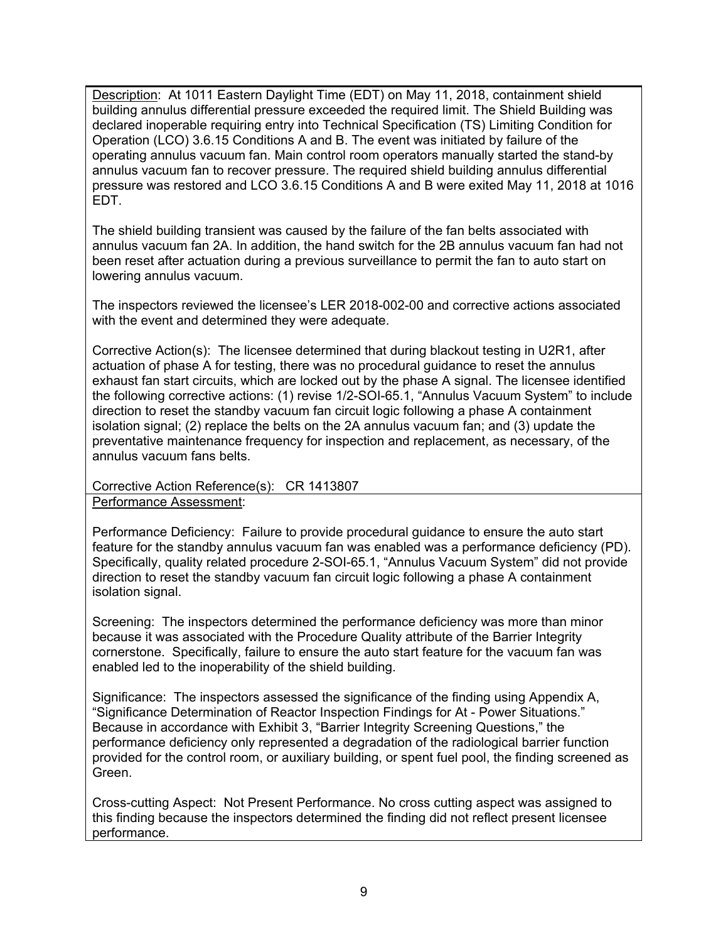Description: At 1011 Eastern Daylight Time (EDT) on May 11, 2018, containment shield building annulus differential pressure exceeded the required limit. The Shield Building was declared inoperable requiring entry into Technical Specification (TS) Limiting Condition for Operation (LCO) 3.6.15 Conditions A and B. The event was initiated by failure of the operating annulus vacuum fan. Main control room operators manually started the stand-by annulus vacuum fan to recover pressure. The required shield building annulus differential pressure was restored and LCO 3.6.15 Conditions A and B were exited May 11, 2018 at 1016 EDT.

The shield building transient was caused by the failure of the fan belts associated with annulus vacuum fan 2A. In addition, the hand switch for the 2B annulus vacuum fan had not been reset after actuation during a previous surveillance to permit the fan to auto start on lowering annulus vacuum.

The inspectors reviewed the licensee's LER 2018-002-00 and corrective actions associated with the event and determined they were adequate.

Corrective Action(s): The licensee determined that during blackout testing in U2R1, after actuation of phase A for testing, there was no procedural guidance to reset the annulus exhaust fan start circuits, which are locked out by the phase A signal. The licensee identified the following corrective actions: (1) revise 1/2-SOI-65.1, "Annulus Vacuum System" to include direction to reset the standby vacuum fan circuit logic following a phase A containment isolation signal; (2) replace the belts on the 2A annulus vacuum fan; and (3) update the preventative maintenance frequency for inspection and replacement, as necessary, of the annulus vacuum fans belts.

## Corrective Action Reference(s): CR 1413807

Performance Assessment:

Performance Deficiency: Failure to provide procedural guidance to ensure the auto start feature for the standby annulus vacuum fan was enabled was a performance deficiency (PD). Specifically, quality related procedure 2-SOI-65.1, "Annulus Vacuum System" did not provide direction to reset the standby vacuum fan circuit logic following a phase A containment isolation signal.

Screening: The inspectors determined the performance deficiency was more than minor because it was associated with the Procedure Quality attribute of the Barrier Integrity cornerstone. Specifically, failure to ensure the auto start feature for the vacuum fan was enabled led to the inoperability of the shield building.

Significance: The inspectors assessed the significance of the finding using Appendix A, "Significance Determination of Reactor Inspection Findings for At - Power Situations." Because in accordance with Exhibit 3, "Barrier Integrity Screening Questions," the performance deficiency only represented a degradation of the radiological barrier function provided for the control room, or auxiliary building, or spent fuel pool, the finding screened as Green.

Cross-cutting Aspect: Not Present Performance. No cross cutting aspect was assigned to this finding because the inspectors determined the finding did not reflect present licensee performance.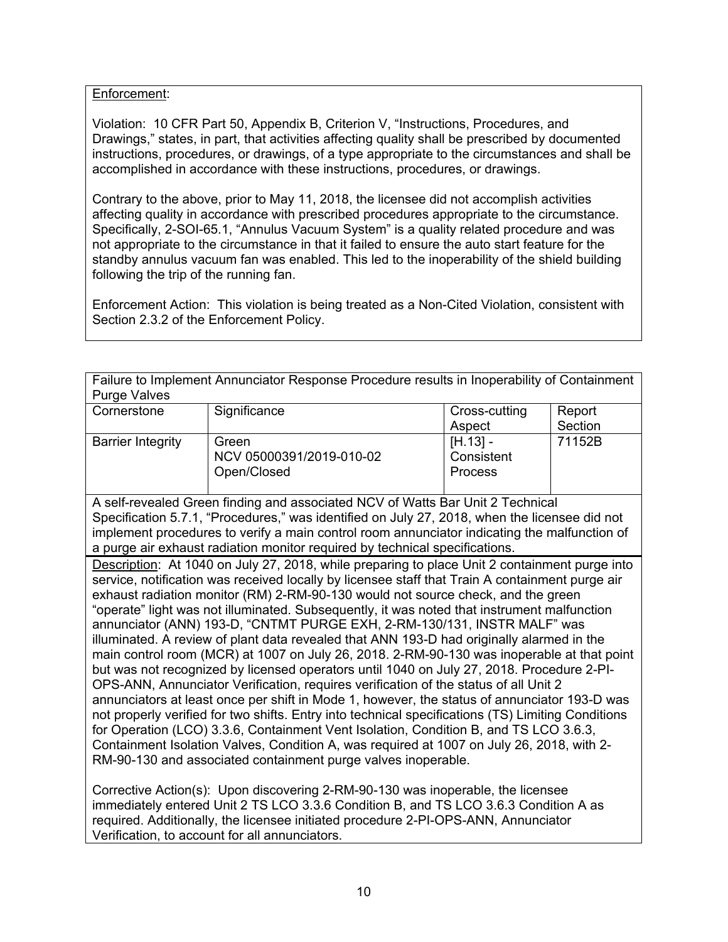## Enforcement:

Violation: 10 CFR Part 50, Appendix B, Criterion V, "Instructions, Procedures, and Drawings," states, in part, that activities affecting quality shall be prescribed by documented instructions, procedures, or drawings, of a type appropriate to the circumstances and shall be accomplished in accordance with these instructions, procedures, or drawings.

Contrary to the above, prior to May 11, 2018, the licensee did not accomplish activities affecting quality in accordance with prescribed procedures appropriate to the circumstance. Specifically, 2-SOI-65.1, "Annulus Vacuum System" is a quality related procedure and was not appropriate to the circumstance in that it failed to ensure the auto start feature for the standby annulus vacuum fan was enabled. This led to the inoperability of the shield building following the trip of the running fan.

Enforcement Action: This violation is being treated as a Non-Cited Violation, consistent with Section 2.3.2 of the Enforcement Policy.

| Failure to Implement Annunciator Response Procedure results in Inoperability of Containment<br><b>Purge Valves</b>                                                                                 |                                                                                                 |               |         |  |  |
|----------------------------------------------------------------------------------------------------------------------------------------------------------------------------------------------------|-------------------------------------------------------------------------------------------------|---------------|---------|--|--|
| Cornerstone                                                                                                                                                                                        | Significance                                                                                    | Cross-cutting | Report  |  |  |
|                                                                                                                                                                                                    |                                                                                                 | Aspect        | Section |  |  |
| <b>Barrier Integrity</b>                                                                                                                                                                           | Green                                                                                           | $[H.13] -$    | 71152B  |  |  |
|                                                                                                                                                                                                    | NCV 05000391/2019-010-02                                                                        | Consistent    |         |  |  |
|                                                                                                                                                                                                    | Open/Closed                                                                                     | Process       |         |  |  |
|                                                                                                                                                                                                    | A self-revealed Green finding and associated NCV of Watts Bar Unit 2 Technical                  |               |         |  |  |
|                                                                                                                                                                                                    | Specification 5.7.1, "Procedures," was identified on July 27, 2018, when the licensee did not   |               |         |  |  |
|                                                                                                                                                                                                    | implement procedures to verify a main control room annunciator indicating the malfunction of    |               |         |  |  |
|                                                                                                                                                                                                    | a purge air exhaust radiation monitor required by technical specifications.                     |               |         |  |  |
|                                                                                                                                                                                                    | Description: At 1040 on July 27, 2018, while preparing to place Unit 2 containment purge into   |               |         |  |  |
|                                                                                                                                                                                                    | service, notification was received locally by licensee staff that Train A containment purge air |               |         |  |  |
| exhaust radiation monitor (RM) 2-RM-90-130 would not source check, and the green                                                                                                                   |                                                                                                 |               |         |  |  |
| "operate" light was not illuminated. Subsequently, it was noted that instrument malfunction                                                                                                        |                                                                                                 |               |         |  |  |
| annunciator (ANN) 193-D, "CNTMT PURGE EXH, 2-RM-130/131, INSTR MALF" was                                                                                                                           |                                                                                                 |               |         |  |  |
| illuminated. A review of plant data revealed that ANN 193-D had originally alarmed in the                                                                                                          |                                                                                                 |               |         |  |  |
| main control room (MCR) at 1007 on July 26, 2018. 2-RM-90-130 was inoperable at that point                                                                                                         |                                                                                                 |               |         |  |  |
| but was not recognized by licensed operators until 1040 on July 27, 2018. Procedure 2-PI-                                                                                                          |                                                                                                 |               |         |  |  |
| OPS-ANN, Annunciator Verification, requires verification of the status of all Unit 2                                                                                                               |                                                                                                 |               |         |  |  |
| annunciators at least once per shift in Mode 1, however, the status of annunciator 193-D was<br>not properly verified for two shifts. Entry into technical specifications (TS) Limiting Conditions |                                                                                                 |               |         |  |  |
| for Operation (LCO) 3.3.6, Containment Vent Isolation, Condition B, and TS LCO 3.6.3,                                                                                                              |                                                                                                 |               |         |  |  |
| Containment Isolation Valves, Condition A, was required at 1007 on July 26, 2018, with 2-                                                                                                          |                                                                                                 |               |         |  |  |
| RM-90-130 and associated containment purge valves inoperable.                                                                                                                                      |                                                                                                 |               |         |  |  |
|                                                                                                                                                                                                    |                                                                                                 |               |         |  |  |

Corrective Action(s): Upon discovering 2-RM-90-130 was inoperable, the licensee immediately entered Unit 2 TS LCO 3.3.6 Condition B, and TS LCO 3.6.3 Condition A as required. Additionally, the licensee initiated procedure 2-PI-OPS-ANN, Annunciator Verification, to account for all annunciators.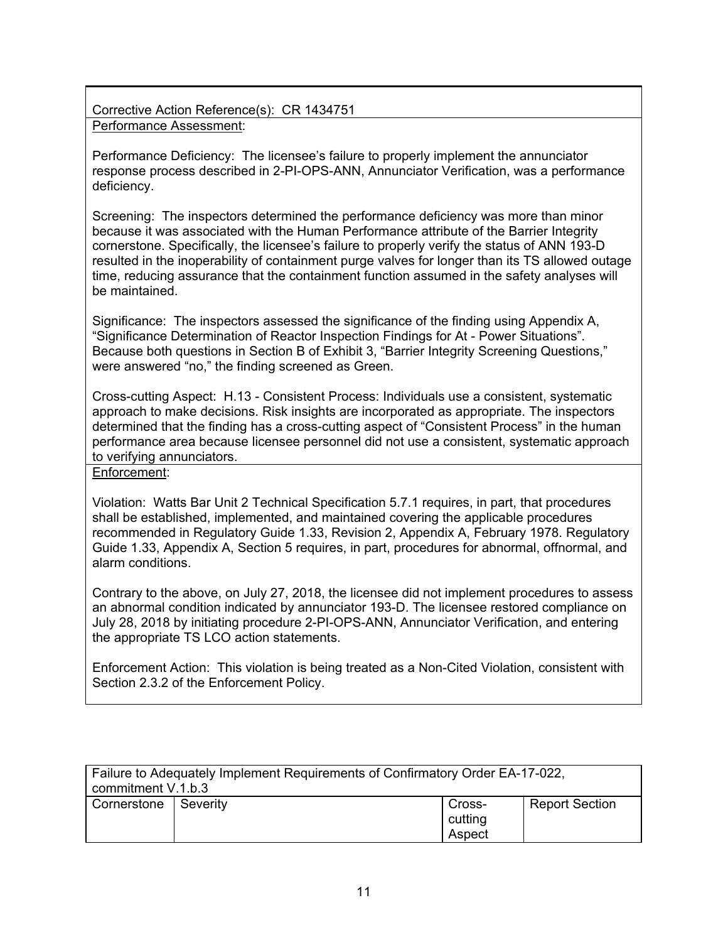Corrective Action Reference(s): CR 1434751 Performance Assessment:

Performance Deficiency: The licensee's failure to properly implement the annunciator response process described in 2-PI-OPS-ANN, Annunciator Verification, was a performance deficiency.

Screening: The inspectors determined the performance deficiency was more than minor because it was associated with the Human Performance attribute of the Barrier Integrity cornerstone. Specifically, the licensee's failure to properly verify the status of ANN 193-D resulted in the inoperability of containment purge valves for longer than its TS allowed outage time, reducing assurance that the containment function assumed in the safety analyses will be maintained.

Significance: The inspectors assessed the significance of the finding using Appendix A, "Significance Determination of Reactor Inspection Findings for At - Power Situations". Because both questions in Section B of Exhibit 3, "Barrier Integrity Screening Questions," were answered "no," the finding screened as Green.

Cross-cutting Aspect: H.13 - Consistent Process: Individuals use a consistent, systematic approach to make decisions. Risk insights are incorporated as appropriate. The inspectors determined that the finding has a cross-cutting aspect of "Consistent Process" in the human performance area because licensee personnel did not use a consistent, systematic approach to verifying annunciators.

Enforcement:

Violation: Watts Bar Unit 2 Technical Specification 5.7.1 requires, in part, that procedures shall be established, implemented, and maintained covering the applicable procedures recommended in Regulatory Guide 1.33, Revision 2, Appendix A, February 1978. Regulatory Guide 1.33, Appendix A, Section 5 requires, in part, procedures for abnormal, offnormal, and alarm conditions.

Contrary to the above, on July 27, 2018, the licensee did not implement procedures to assess an abnormal condition indicated by annunciator 193-D. The licensee restored compliance on July 28, 2018 by initiating procedure 2-PI-OPS-ANN, Annunciator Verification, and entering the appropriate TS LCO action statements.

Enforcement Action: This violation is being treated as a Non-Cited Violation, consistent with Section 2.3.2 of the Enforcement Policy.

| Failure to Adequately Implement Requirements of Confirmatory Order EA-17-022,<br>commitment V.1.b.3 |            |                             |                       |  |
|-----------------------------------------------------------------------------------------------------|------------|-----------------------------|-----------------------|--|
| Cornerstone                                                                                         | l Severitv | Cross-<br>cutting<br>Aspect | <b>Report Section</b> |  |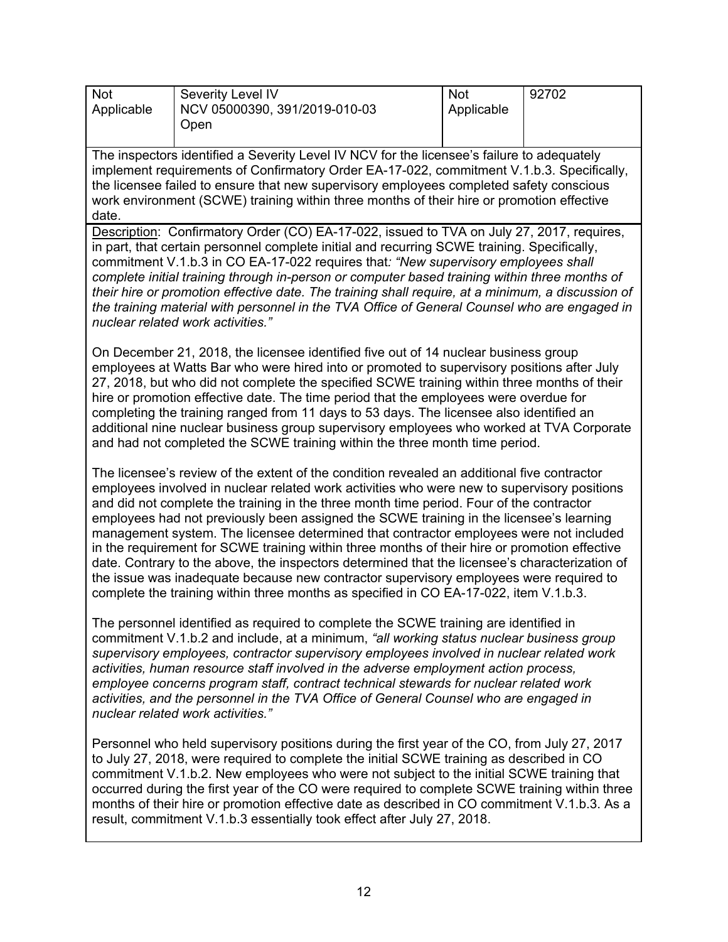| <b>Not</b><br>Applicable | Severity Level IV<br>NCV 05000390, 391/2019-010-03<br>Open | <b>Not</b><br>Applicable | 92702 |
|--------------------------|------------------------------------------------------------|--------------------------|-------|
|                          |                                                            |                          |       |

The inspectors identified a Severity Level IV NCV for the licensee's failure to adequately implement requirements of Confirmatory Order EA-17-022, commitment V.1.b.3. Specifically, the licensee failed to ensure that new supervisory employees completed safety conscious work environment (SCWE) training within three months of their hire or promotion effective date.

Description: Confirmatory Order (CO) EA-17-022, issued to TVA on July 27, 2017, requires, in part, that certain personnel complete initial and recurring SCWE training. Specifically, commitment V.1.b.3 in CO EA-17-022 requires that*: "New supervisory employees shall complete initial training through in-person or computer based training within three months of their hire or promotion effective date. The training shall require, at a minimum, a discussion of the training material with personnel in the TVA Office of General Counsel who are engaged in nuclear related work activities."*

On December 21, 2018, the licensee identified five out of 14 nuclear business group employees at Watts Bar who were hired into or promoted to supervisory positions after July 27, 2018, but who did not complete the specified SCWE training within three months of their hire or promotion effective date. The time period that the employees were overdue for completing the training ranged from 11 days to 53 days. The licensee also identified an additional nine nuclear business group supervisory employees who worked at TVA Corporate and had not completed the SCWE training within the three month time period.

The licensee's review of the extent of the condition revealed an additional five contractor employees involved in nuclear related work activities who were new to supervisory positions and did not complete the training in the three month time period. Four of the contractor employees had not previously been assigned the SCWE training in the licensee's learning management system. The licensee determined that contractor employees were not included in the requirement for SCWE training within three months of their hire or promotion effective date. Contrary to the above, the inspectors determined that the licensee's characterization of the issue was inadequate because new contractor supervisory employees were required to complete the training within three months as specified in CO EA-17-022, item V.1.b.3.

The personnel identified as required to complete the SCWE training are identified in commitment V.1.b.2 and include, at a minimum, *"all working status nuclear business group supervisory employees, contractor supervisory employees involved in nuclear related work activities, human resource staff involved in the adverse employment action process, employee concerns program staff, contract technical stewards for nuclear related work activities, and the personnel in the TVA Office of General Counsel who are engaged in nuclear related work activities."*

Personnel who held supervisory positions during the first year of the CO, from July 27, 2017 to July 27, 2018, were required to complete the initial SCWE training as described in CO commitment V.1.b.2. New employees who were not subject to the initial SCWE training that occurred during the first year of the CO were required to complete SCWE training within three months of their hire or promotion effective date as described in CO commitment V.1.b.3. As a result, commitment V.1.b.3 essentially took effect after July 27, 2018.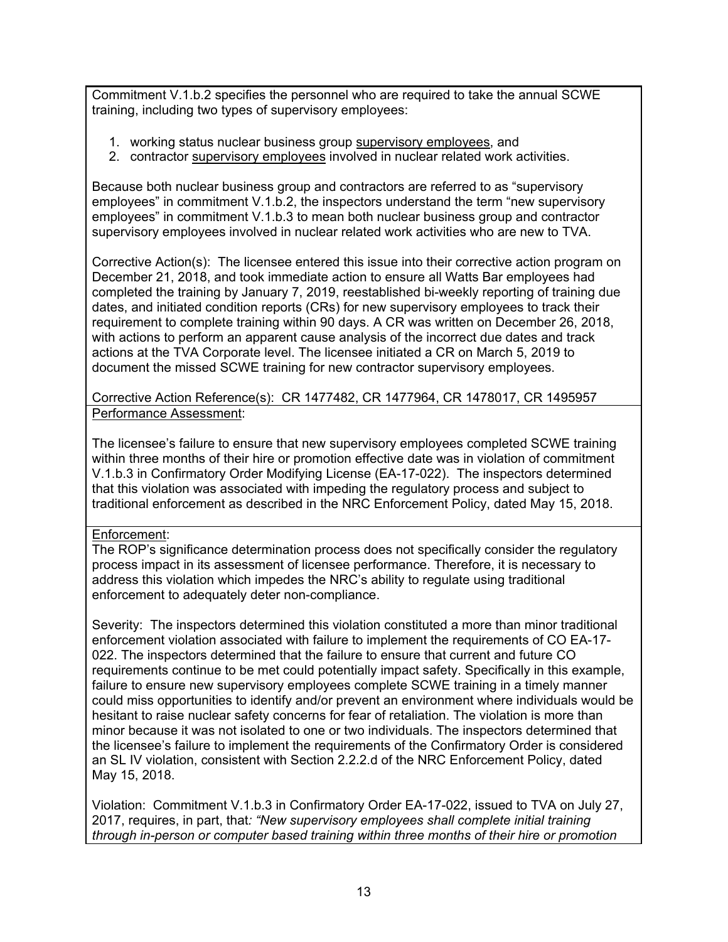Commitment V.1.b.2 specifies the personnel who are required to take the annual SCWE training, including two types of supervisory employees:

- 1. working status nuclear business group supervisory employees, and
- 2. contractor supervisory employees involved in nuclear related work activities.

Because both nuclear business group and contractors are referred to as "supervisory employees" in commitment V.1.b.2, the inspectors understand the term "new supervisory employees" in commitment V.1.b.3 to mean both nuclear business group and contractor supervisory employees involved in nuclear related work activities who are new to TVA.

Corrective Action(s): The licensee entered this issue into their corrective action program on December 21, 2018, and took immediate action to ensure all Watts Bar employees had completed the training by January 7, 2019, reestablished bi-weekly reporting of training due dates, and initiated condition reports (CRs) for new supervisory employees to track their requirement to complete training within 90 days. A CR was written on December 26, 2018, with actions to perform an apparent cause analysis of the incorrect due dates and track actions at the TVA Corporate level. The licensee initiated a CR on March 5, 2019 to document the missed SCWE training for new contractor supervisory employees.

Corrective Action Reference(s): CR 1477482, CR 1477964, CR 1478017, CR 1495957 Performance Assessment:

The licensee's failure to ensure that new supervisory employees completed SCWE training within three months of their hire or promotion effective date was in violation of commitment V.1.b.3 in Confirmatory Order Modifying License (EA-17-022). The inspectors determined that this violation was associated with impeding the regulatory process and subject to traditional enforcement as described in the NRC Enforcement Policy, dated May 15, 2018.

## Enforcement:

The ROP's significance determination process does not specifically consider the regulatory process impact in its assessment of licensee performance. Therefore, it is necessary to address this violation which impedes the NRC's ability to regulate using traditional enforcement to adequately deter non-compliance.

Severity: The inspectors determined this violation constituted a more than minor traditional enforcement violation associated with failure to implement the requirements of CO EA-17- 022. The inspectors determined that the failure to ensure that current and future CO requirements continue to be met could potentially impact safety. Specifically in this example, failure to ensure new supervisory employees complete SCWE training in a timely manner could miss opportunities to identify and/or prevent an environment where individuals would be hesitant to raise nuclear safety concerns for fear of retaliation. The violation is more than minor because it was not isolated to one or two individuals. The inspectors determined that the licensee's failure to implement the requirements of the Confirmatory Order is considered an SL IV violation, consistent with Section 2.2.2.d of the NRC Enforcement Policy, dated May 15, 2018.

Violation: Commitment V.1.b.3 in Confirmatory Order EA-17-022, issued to TVA on July 27, 2017, requires, in part, that*: "New supervisory employees shall complete initial training through in-person or computer based training within three months of their hire or promotion*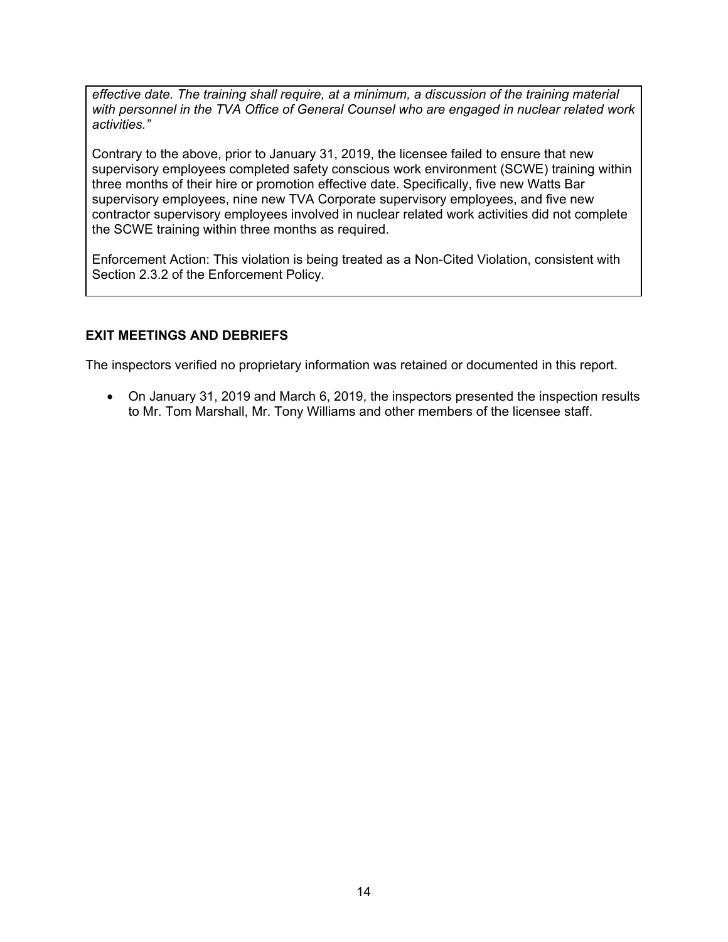*effective date. The training shall require, at a minimum, a discussion of the training material with personnel in the TVA Office of General Counsel who are engaged in nuclear related work activities."*

Contrary to the above, prior to January 31, 2019, the licensee failed to ensure that new supervisory employees completed safety conscious work environment (SCWE) training within three months of their hire or promotion effective date. Specifically, five new Watts Bar supervisory employees, nine new TVA Corporate supervisory employees, and five new contractor supervisory employees involved in nuclear related work activities did not complete the SCWE training within three months as required.

Enforcement Action: This violation is being treated as a Non-Cited Violation, consistent with Section 2.3.2 of the Enforcement Policy.

## **EXIT MEETINGS AND DEBRIEFS**

The inspectors verified no proprietary information was retained or documented in this report.

• On January 31, 2019 and March 6, 2019, the inspectors presented the inspection results to Mr. Tom Marshall, Mr. Tony Williams and other members of the licensee staff.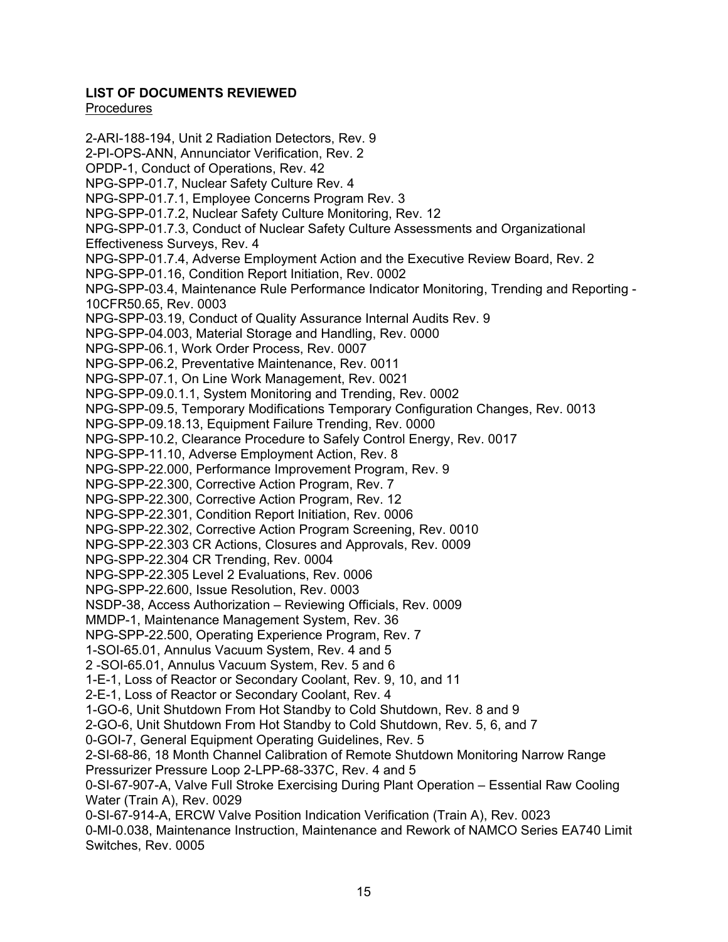# **LIST OF DOCUMENTS REVIEWED**

## Procedures

2-ARI-188-194, Unit 2 Radiation Detectors, Rev. 9 2-PI-OPS-ANN, Annunciator Verification, Rev. 2 OPDP-1, Conduct of Operations, Rev. 42 NPG-SPP-01.7, Nuclear Safety Culture Rev. 4 NPG-SPP-01.7.1, Employee Concerns Program Rev. 3 NPG-SPP-01.7.2, Nuclear Safety Culture Monitoring, Rev. 12 NPG-SPP-01.7.3, Conduct of Nuclear Safety Culture Assessments and Organizational Effectiveness Surveys, Rev. 4 NPG-SPP-01.7.4, Adverse Employment Action and the Executive Review Board, Rev. 2 NPG-SPP-01.16, Condition Report Initiation, Rev. 0002 NPG-SPP-03.4, Maintenance Rule Performance Indicator Monitoring, Trending and Reporting - 10CFR50.65, Rev. 0003 NPG-SPP-03.19, Conduct of Quality Assurance Internal Audits Rev. 9 NPG-SPP-04.003, Material Storage and Handling, Rev. 0000 NPG-SPP-06.1, Work Order Process, Rev. 0007 NPG-SPP-06.2, Preventative Maintenance, Rev. 0011 NPG-SPP-07.1, On Line Work Management, Rev. 0021 NPG-SPP-09.0.1.1, System Monitoring and Trending, Rev. 0002 NPG-SPP-09.5, Temporary Modifications Temporary Configuration Changes, Rev. 0013 NPG-SPP-09.18.13, Equipment Failure Trending, Rev. 0000 NPG-SPP-10.2, Clearance Procedure to Safely Control Energy, Rev. 0017 NPG-SPP-11.10, Adverse Employment Action, Rev. 8 NPG-SPP-22.000, Performance Improvement Program, Rev. 9 NPG-SPP-22.300, Corrective Action Program, Rev. 7 NPG-SPP-22.300, Corrective Action Program, Rev. 12 NPG-SPP-22.301, Condition Report Initiation, Rev. 0006 NPG-SPP-22.302, Corrective Action Program Screening, Rev. 0010 NPG-SPP-22.303 CR Actions, Closures and Approvals, Rev. 0009 NPG-SPP-22.304 CR Trending, Rev. 0004 NPG-SPP-22.305 Level 2 Evaluations, Rev. 0006 NPG-SPP-22.600, Issue Resolution, Rev. 0003 NSDP-38, Access Authorization – Reviewing Officials, Rev. 0009 MMDP-1, Maintenance Management System, Rev. 36 NPG-SPP-22.500, Operating Experience Program, Rev. 7 1-SOI-65.01, Annulus Vacuum System, Rev. 4 and 5 2 -SOI-65.01, Annulus Vacuum System, Rev. 5 and 6 1-E-1, Loss of Reactor or Secondary Coolant, Rev. 9, 10, and 11 2-E-1, Loss of Reactor or Secondary Coolant, Rev. 4 1-GO-6, Unit Shutdown From Hot Standby to Cold Shutdown, Rev. 8 and 9 2-GO-6, Unit Shutdown From Hot Standby to Cold Shutdown, Rev. 5, 6, and 7 0-GOI-7, General Equipment Operating Guidelines, Rev. 5 2-SI-68-86, 18 Month Channel Calibration of Remote Shutdown Monitoring Narrow Range Pressurizer Pressure Loop 2-LPP-68-337C, Rev. 4 and 5 0-SI-67-907-A, Valve Full Stroke Exercising During Plant Operation – Essential Raw Cooling Water (Train A), Rev. 0029 0-SI-67-914-A, ERCW Valve Position Indication Verification (Train A), Rev. 0023 0-MI-0.038, Maintenance Instruction, Maintenance and Rework of NAMCO Series EA740 Limit Switches, Rev. 0005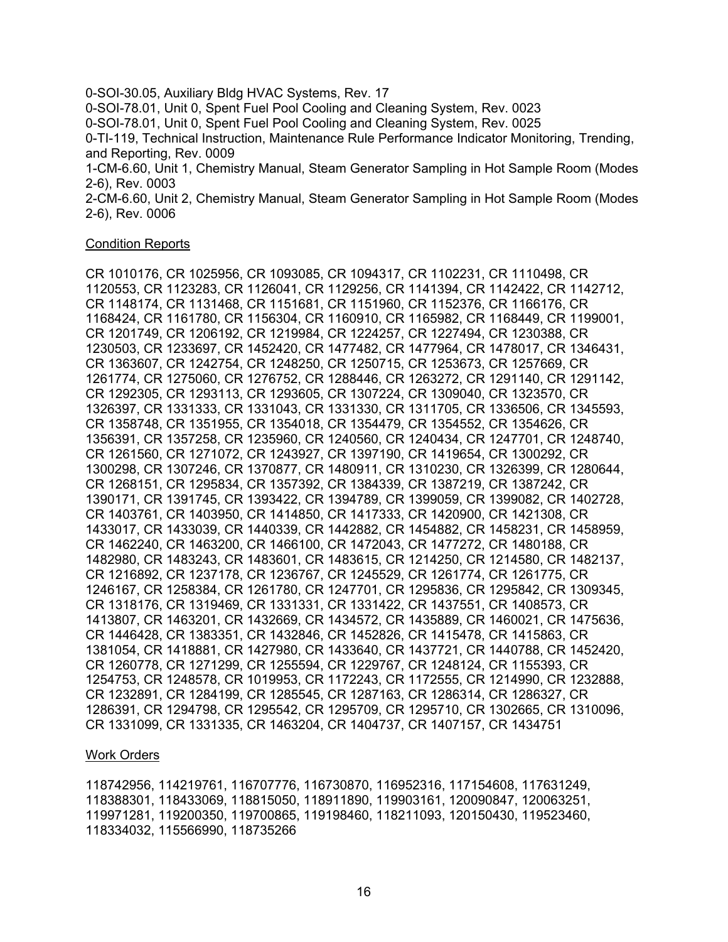0-SOI-30.05, Auxiliary Bldg HVAC Systems, Rev. 17 0-SOI-78.01, Unit 0, Spent Fuel Pool Cooling and Cleaning System, Rev. 0023 0-SOI-78.01, Unit 0, Spent Fuel Pool Cooling and Cleaning System, Rev. 0025 0-TI-119, Technical Instruction, Maintenance Rule Performance Indicator Monitoring, Trending, and Reporting, Rev. 0009 1-CM-6.60, Unit 1, Chemistry Manual, Steam Generator Sampling in Hot Sample Room (Modes 2-6), Rev. 0003 2-CM-6.60, Unit 2, Chemistry Manual, Steam Generator Sampling in Hot Sample Room (Modes 2-6), Rev. 0006

#### Condition Reports

CR 1010176, CR 1025956, CR 1093085, CR 1094317, CR 1102231, CR 1110498, CR 1120553, CR 1123283, CR 1126041, CR 1129256, CR 1141394, CR 1142422, CR 1142712, CR 1148174, CR 1131468, CR 1151681, CR 1151960, CR 1152376, CR 1166176, CR 1168424, CR 1161780, CR 1156304, CR 1160910, CR 1165982, CR 1168449, CR 1199001, CR 1201749, CR 1206192, CR 1219984, CR 1224257, CR 1227494, CR 1230388, CR 1230503, CR 1233697, CR 1452420, CR 1477482, CR 1477964, CR 1478017, CR 1346431, CR 1363607, CR 1242754, CR 1248250, CR 1250715, CR 1253673, CR 1257669, CR 1261774, CR 1275060, CR 1276752, CR 1288446, CR 1263272, CR 1291140, CR 1291142, CR 1292305, CR 1293113, CR 1293605, CR 1307224, CR 1309040, CR 1323570, CR 1326397, CR 1331333, CR 1331043, CR 1331330, CR 1311705, CR 1336506, CR 1345593, CR 1358748, CR 1351955, CR 1354018, CR 1354479, CR 1354552, CR 1354626, CR 1356391, CR 1357258, CR 1235960, CR 1240560, CR 1240434, CR 1247701, CR 1248740, CR 1261560, CR 1271072, CR 1243927, CR 1397190, CR 1419654, CR 1300292, CR 1300298, CR 1307246, CR 1370877, CR 1480911, CR 1310230, CR 1326399, CR 1280644, CR 1268151, CR 1295834, CR 1357392, CR 1384339, CR 1387219, CR 1387242, CR 1390171, CR 1391745, CR 1393422, CR 1394789, CR 1399059, CR 1399082, CR 1402728, CR 1403761, CR 1403950, CR 1414850, CR 1417333, CR 1420900, CR 1421308, CR 1433017, CR 1433039, CR 1440339, CR 1442882, CR 1454882, CR 1458231, CR 1458959, CR 1462240, CR 1463200, CR 1466100, CR 1472043, CR 1477272, CR 1480188, CR 1482980, CR 1483243, CR 1483601, CR 1483615, CR 1214250, CR 1214580, CR 1482137, CR 1216892, CR 1237178, CR 1236767, CR 1245529, CR 1261774, CR 1261775, CR 1246167, CR 1258384, CR 1261780, CR 1247701, CR 1295836, CR 1295842, CR 1309345, CR 1318176, CR 1319469, CR 1331331, CR 1331422, CR 1437551, CR 1408573, CR 1413807, CR 1463201, CR 1432669, CR 1434572, CR 1435889, CR 1460021, CR 1475636, CR 1446428, CR 1383351, CR 1432846, CR 1452826, CR 1415478, CR 1415863, CR 1381054, CR 1418881, CR 1427980, CR 1433640, CR 1437721, CR 1440788, CR 1452420, CR 1260778, CR 1271299, CR 1255594, CR 1229767, CR 1248124, CR 1155393, CR 1254753, CR 1248578, CR 1019953, CR 1172243, CR 1172555, CR 1214990, CR 1232888, CR 1232891, CR 1284199, CR 1285545, CR 1287163, CR 1286314, CR 1286327, CR 1286391, CR 1294798, CR 1295542, CR 1295709, CR 1295710, CR 1302665, CR 1310096, CR 1331099, CR 1331335, CR 1463204, CR 1404737, CR 1407157, CR 1434751

#### Work Orders

118742956, 114219761, 116707776, 116730870, 116952316, 117154608, 117631249, 118388301, 118433069, 118815050, 118911890, 119903161, 120090847, 120063251, 119971281, 119200350, 119700865, 119198460, 118211093, 120150430, 119523460, 118334032, 115566990, 118735266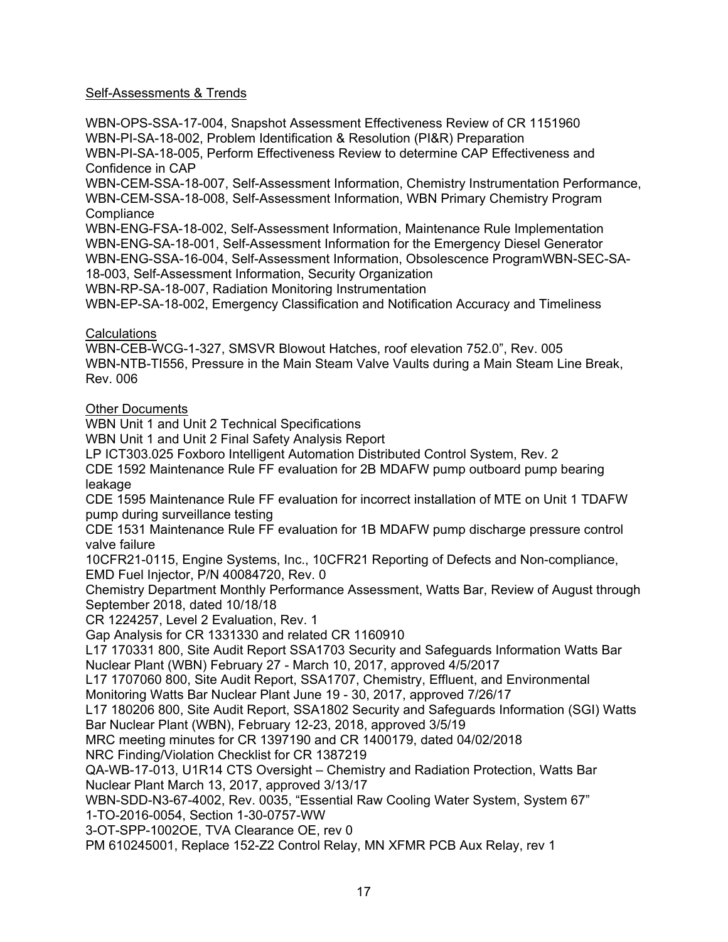## Self-Assessments & Trends

WBN-OPS-SSA-17-004, Snapshot Assessment Effectiveness Review of CR 1151960 WBN-PI-SA-18-002, Problem Identification & Resolution (PI&R) Preparation WBN-PI-SA-18-005, Perform Effectiveness Review to determine CAP Effectiveness and Confidence in CAP WBN-CEM-SSA-18-007, Self-Assessment Information, Chemistry Instrumentation Performance, WBN-CEM-SSA-18-008, Self-Assessment Information, WBN Primary Chemistry Program **Compliance** WBN-ENG-FSA-18-002, Self-Assessment Information, Maintenance Rule Implementation WBN-ENG-SA-18-001, Self-Assessment Information for the Emergency Diesel Generator WBN-ENG-SSA-16-004, Self-Assessment Information, Obsolescence ProgramWBN-SEC-SA-18-003, Self-Assessment Information, Security Organization WBN-RP-SA-18-007, Radiation Monitoring Instrumentation WBN-EP-SA-18-002, Emergency Classification and Notification Accuracy and Timeliness **Calculations** WBN-CEB-WCG-1-327, SMSVR Blowout Hatches, roof elevation 752.0", Rev. 005 WBN-NTB-TI556, Pressure in the Main Steam Valve Vaults during a Main Steam Line Break, Rev. 006 **Other Documents** WBN Unit 1 and Unit 2 Technical Specifications WBN Unit 1 and Unit 2 Final Safety Analysis Report LP ICT303.025 Foxboro Intelligent Automation Distributed Control System, Rev. 2 CDE 1592 Maintenance Rule FF evaluation for 2B MDAFW pump outboard pump bearing leakage CDE 1595 Maintenance Rule FF evaluation for incorrect installation of MTE on Unit 1 TDAFW pump during surveillance testing CDE 1531 Maintenance Rule FF evaluation for 1B MDAFW pump discharge pressure control valve failure 10CFR21-0115, Engine Systems, Inc., 10CFR21 Reporting of Defects and Non-compliance, EMD Fuel Injector, P/N 40084720, Rev. 0 Chemistry Department Monthly Performance Assessment, Watts Bar, Review of August through September 2018, dated 10/18/18 CR 1224257, Level 2 Evaluation, Rev. 1 Gap Analysis for CR 1331330 and related CR 1160910 L17 170331 800, Site Audit Report SSA1703 Security and Safeguards Information Watts Bar Nuclear Plant (WBN) February 27 - March 10, 2017, approved 4/5/2017 L17 1707060 800, Site Audit Report, SSA1707, Chemistry, Effluent, and Environmental Monitoring Watts Bar Nuclear Plant June 19 - 30, 2017, approved 7/26/17 L17 180206 800, Site Audit Report, SSA1802 Security and Safeguards Information (SGI) Watts Bar Nuclear Plant (WBN), February 12-23, 2018, approved 3/5/19 MRC meeting minutes for CR 1397190 and CR 1400179, dated 04/02/2018 NRC Finding/Violation Checklist for CR 1387219 QA-WB-17-013, U1R14 CTS Oversight – Chemistry and Radiation Protection, Watts Bar Nuclear Plant March 13, 2017, approved 3/13/17 WBN-SDD-N3-67-4002, Rev. 0035, "Essential Raw Cooling Water System, System 67" 1-TO-2016-0054, Section 1-30-0757-WW 3-OT-SPP-1002OE, TVA Clearance OE, rev 0